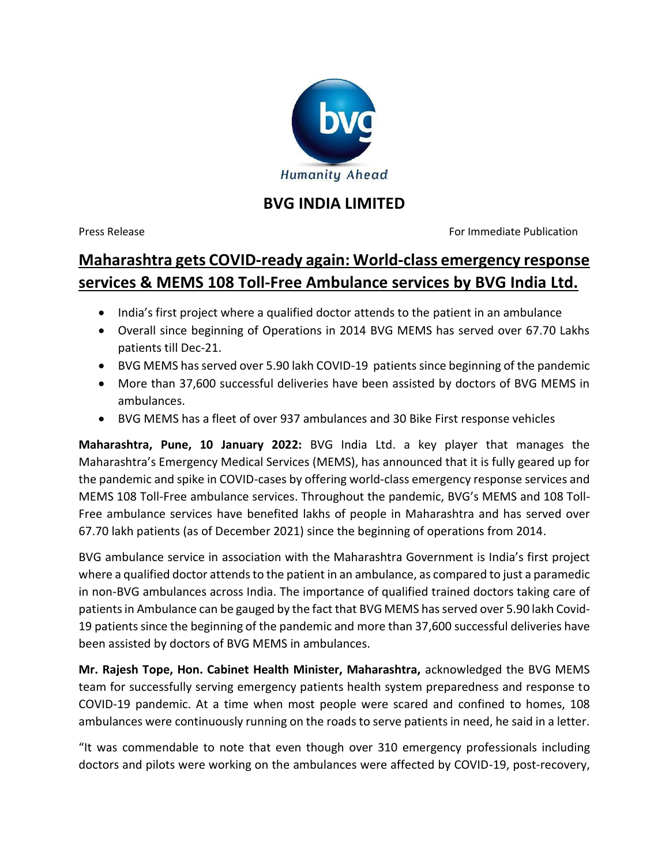

## **BVG INDIA LIMITED**

Press Release **For Immediate Publication** 

## **Maharashtra gets COVID-ready again: World-class emergency response services & MEMS 108 Toll-Free Ambulance services by BVG India Ltd.**

- India's first project where a qualified doctor attends to the patient in an ambulance
- Overall since beginning of Operations in 2014 BVG MEMS has served over 67.70 Lakhs patients till Dec-21.
- BVG MEMS has served over 5.90 lakh COVID-19 patients since beginning of the pandemic
- More than 37,600 successful deliveries have been assisted by doctors of BVG MEMS in ambulances.
- BVG MEMS has a fleet of over 937 ambulances and 30 Bike First response vehicles

**Maharashtra, Pune, 10 January 2022:** BVG India Ltd. a key player that manages the Maharashtra's Emergency Medical Services (MEMS), has announced that it is fully geared up for the pandemic and spike in COVID-cases by offering world-class emergency response services and MEMS 108 Toll-Free ambulance services. Throughout the pandemic, BVG's MEMS and 108 Toll-Free ambulance services have benefited lakhs of people in Maharashtra and has served over 67.70 lakh patients (as of December 2021) since the beginning of operations from 2014.

BVG ambulance service in association with the Maharashtra Government is India's first project where a qualified doctor attends to the patient in an ambulance, as compared to just a paramedic in non-BVG ambulances across India. The importance of qualified trained doctors taking care of patientsin Ambulance can be gauged by the fact that BVG MEMS has served over 5.90 lakh Covid-19 patients since the beginning of the pandemic and more than 37,600 successful deliveries have been assisted by doctors of BVG MEMS in ambulances.

**Mr. Rajesh Tope, Hon. Cabinet Health Minister, Maharashtra,** acknowledged the BVG MEMS team for successfully serving emergency patients health system preparedness and response to COVID-19 pandemic. At a time when most people were scared and confined to homes, 108 ambulances were continuously running on the roads to serve patients in need, he said in a letter.

"It was commendable to note that even though over 310 emergency professionals including doctors and pilots were working on the ambulances were affected by COVID-19, post-recovery,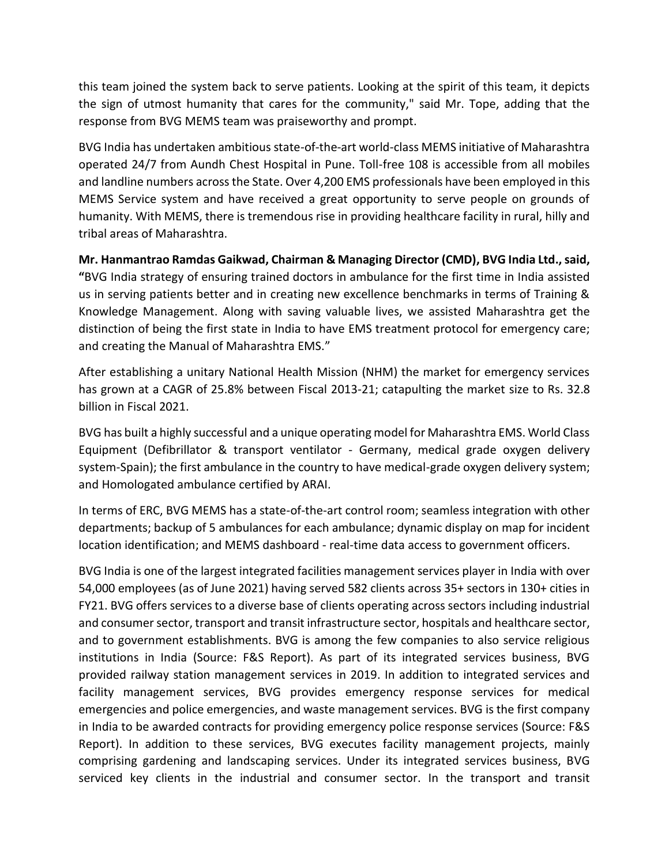this team joined the system back to serve patients. Looking at the spirit of this team, it depicts the sign of utmost humanity that cares for the community," said Mr. Tope, adding that the response from BVG MEMS team was praiseworthy and prompt.

BVG India has undertaken ambitious state-of-the-art world-class MEMS initiative of Maharashtra operated 24/7 from Aundh Chest Hospital in Pune. Toll-free 108 is accessible from all mobiles and landline numbers across the State. Over 4,200 EMS professionals have been employed in this MEMS Service system and have received a great opportunity to serve people on grounds of humanity. With MEMS, there is tremendous rise in providing healthcare facility in rural, hilly and tribal areas of Maharashtra.

**Mr. Hanmantrao Ramdas Gaikwad, Chairman & Managing Director (CMD), BVG India Ltd., said, "**BVG India strategy of ensuring trained doctors in ambulance for the first time in India assisted us in serving patients better and in creating new excellence benchmarks in terms of Training & Knowledge Management. Along with saving valuable lives, we assisted Maharashtra get the distinction of being the first state in India to have EMS treatment protocol for emergency care; and creating the Manual of Maharashtra EMS."

After establishing a unitary National Health Mission (NHM) the market for emergency services has grown at a CAGR of 25.8% between Fiscal 2013-21; catapulting the market size to Rs. 32.8 billion in Fiscal 2021.

BVG has built a highly successful and a unique operating model for Maharashtra EMS. World Class Equipment (Defibrillator & transport ventilator - Germany, medical grade oxygen delivery system-Spain); the first ambulance in the country to have medical-grade oxygen delivery system; and Homologated ambulance certified by ARAI.

In terms of ERC, BVG MEMS has a state-of-the-art control room; seamless integration with other departments; backup of 5 ambulances for each ambulance; dynamic display on map for incident location identification; and MEMS dashboard - real-time data access to government officers.

BVG India is one of the largest integrated facilities management services player in India with over 54,000 employees (as of June 2021) having served 582 clients across 35+ sectors in 130+ cities in FY21. BVG offers services to a diverse base of clients operating across sectors including industrial and consumer sector, transport and transit infrastructure sector, hospitals and healthcare sector, and to government establishments. BVG is among the few companies to also service religious institutions in India (Source: F&S Report). As part of its integrated services business, BVG provided railway station management services in 2019. In addition to integrated services and facility management services, BVG provides emergency response services for medical emergencies and police emergencies, and waste management services. BVG is the first company in India to be awarded contracts for providing emergency police response services (Source: F&S Report). In addition to these services, BVG executes facility management projects, mainly comprising gardening and landscaping services. Under its integrated services business, BVG serviced key clients in the industrial and consumer sector. In the transport and transit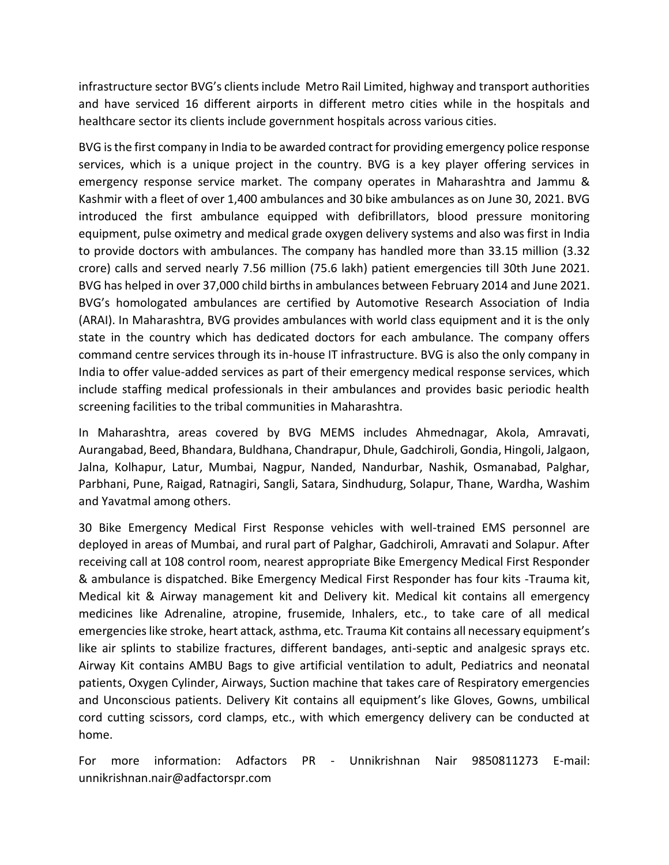infrastructure sector BVG's clients include Metro Rail Limited, highway and transport authorities and have serviced 16 different airports in different metro cities while in the hospitals and healthcare sector its clients include government hospitals across various cities.

BVG is the first company in India to be awarded contract for providing emergency police response services, which is a unique project in the country. BVG is a key player offering services in emergency response service market. The company operates in Maharashtra and Jammu & Kashmir with a fleet of over 1,400 ambulances and 30 bike ambulances as on June 30, 2021. BVG introduced the first ambulance equipped with defibrillators, blood pressure monitoring equipment, pulse oximetry and medical grade oxygen delivery systems and also was first in India to provide doctors with ambulances. The company has handled more than 33.15 million (3.32 crore) calls and served nearly 7.56 million (75.6 lakh) patient emergencies till 30th June 2021. BVG has helped in over 37,000 child births in ambulances between February 2014 and June 2021. BVG's homologated ambulances are certified by Automotive Research Association of India (ARAI). In Maharashtra, BVG provides ambulances with world class equipment and it is the only state in the country which has dedicated doctors for each ambulance. The company offers command centre services through its in-house IT infrastructure. BVG is also the only company in India to offer value-added services as part of their emergency medical response services, which include staffing medical professionals in their ambulances and provides basic periodic health screening facilities to the tribal communities in Maharashtra.

In Maharashtra, areas covered by BVG MEMS includes Ahmednagar, Akola, Amravati, Aurangabad, Beed, Bhandara, Buldhana, Chandrapur, Dhule, Gadchiroli, Gondia, Hingoli, Jalgaon, Jalna, Kolhapur, Latur, Mumbai, Nagpur, Nanded, Nandurbar, Nashik, Osmanabad, Palghar, Parbhani, Pune, Raigad, Ratnagiri, Sangli, Satara, Sindhudurg, Solapur, Thane, Wardha, Washim and Yavatmal among others.

30 Bike Emergency Medical First Response vehicles with well-trained EMS personnel are deployed in areas of Mumbai, and rural part of Palghar, Gadchiroli, Amravati and Solapur. After receiving call at 108 control room, nearest appropriate Bike Emergency Medical First Responder & ambulance is dispatched. Bike Emergency Medical First Responder has four kits -Trauma kit, Medical kit & Airway management kit and Delivery kit. Medical kit contains all emergency medicines like Adrenaline, atropine, frusemide, Inhalers, etc., to take care of all medical emergencies like stroke, heart attack, asthma, etc. Trauma Kit contains all necessary equipment's like air splints to stabilize fractures, different bandages, anti-septic and analgesic sprays etc. Airway Kit contains AMBU Bags to give artificial ventilation to adult, Pediatrics and neonatal patients, Oxygen Cylinder, Airways, Suction machine that takes care of Respiratory emergencies and Unconscious patients. Delivery Kit contains all equipment's like Gloves, Gowns, umbilical cord cutting scissors, cord clamps, etc., with which emergency delivery can be conducted at home.

For more information: Adfactors PR - Unnikrishnan Nair 9850811273 E-mail: unnikrishnan.nair@adfactorspr.com